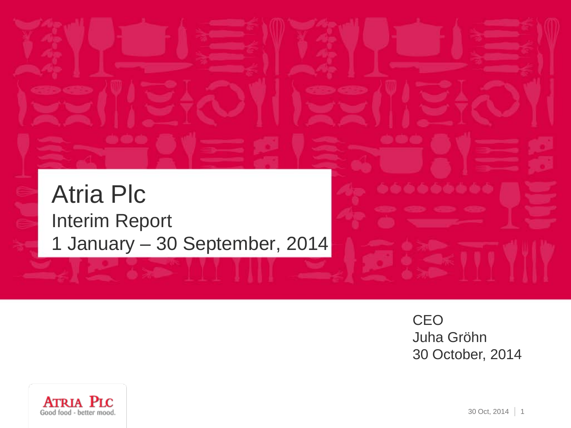# Atria Plc ه ه ه ه ه ه Interim Report 1 January – 30 September, 2014

**CEO** Juha Gröhn 30 October, 2014

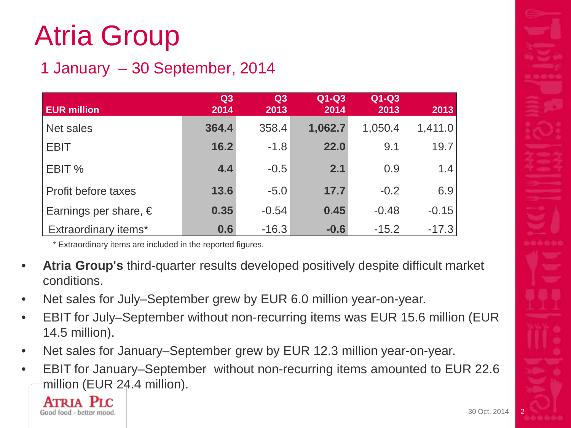# Atria Group

#### 1 January – 30 September, 2014

| <b>EUR million</b>             | Q3<br>2014 | Q <sub>3</sub><br>2013 | $Q1-Q3$<br>2014 | $Q1-Q3$<br>2013 | 2013    |
|--------------------------------|------------|------------------------|-----------------|-----------------|---------|
| Net sales                      | 364.4      | 358.4                  | 1,062.7         | 1,050.4         | 1,411.0 |
| <b>EBIT</b>                    | 16.2       | $-1.8$                 | 22.0            | 9.1             | 19.7    |
| EBIT %                         | 4.4        | $-0.5$                 | 2.1             | 0.9             | 1.4     |
| Profit before taxes            | 13.6       | $-5.0$                 | 17.7            | $-0.2$          | 6.9     |
| Earnings per share, $\epsilon$ | 0.35       | $-0.54$                | 0.45            | $-0.48$         | $-0.15$ |
| <b>Extraordinary items*</b>    | 0.6        | $-16.3$                | $-0.6$          | $-15.2$         | $-17.3$ |

\* Extraordinary items are included in the reported figures.

- **Atria Group's** third-quarter results developed positively despite difficult market conditions.
- Net sales for July–September grew by EUR 6.0 million year-on-year.
- EBIT for July–September without non-recurring items was EUR 15.6 million (EUR 14.5 million).
- Net sales for January–September grew by EUR 12.3 million year-on-year.
- EBIT for January–September without non-recurring items amounted to EUR 22.6 million (EUR 24.4 million).

**ATRIA**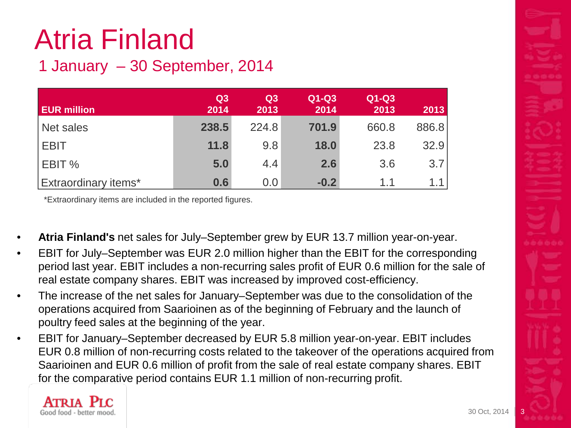# Atria Finland

#### 1 January – 30 September, 2014

| <b>EUR million</b>          | Q3<br>2014 | Q3<br>2013 | $Q1-Q3$<br>2014 | Q1-Q3<br>2013 | 2013  |
|-----------------------------|------------|------------|-----------------|---------------|-------|
| Net sales                   | 238.5      | 224.8      | 701.9           | 660.8         | 886.8 |
| <b>I EBIT</b>               | 11.8       | 9.8        | 18.0            | 23.8          | 32.9  |
| <b>EBIT</b> %               | 5.0        | 4.4        | 2.6             | 3.6           | 3.7   |
| <b>Extraordinary items*</b> | 0.6        | 0.0        | $-0.2$          | 1.1           | 1.1   |

\*Extraordinary items are included in the reported figures.

- **Atria Finland's** net sales for July–September grew by EUR 13.7 million year-on-year.
- EBIT for July–September was EUR 2.0 million higher than the EBIT for the corresponding period last year. EBIT includes a non-recurring sales profit of EUR 0.6 million for the sale of real estate company shares. EBIT was increased by improved cost-efficiency.
- The increase of the net sales for January–September was due to the consolidation of the operations acquired from Saarioinen as of the beginning of February and the launch of poultry feed sales at the beginning of the year.
- EBIT for January–September decreased by EUR 5.8 million year-on-year. EBIT includes EUR 0.8 million of non-recurring costs related to the takeover of the operations acquired from Saarioinen and EUR 0.6 million of profit from the sale of real estate company shares. EBIT for the comparative period contains EUR 1.1 million of non-recurring profit.

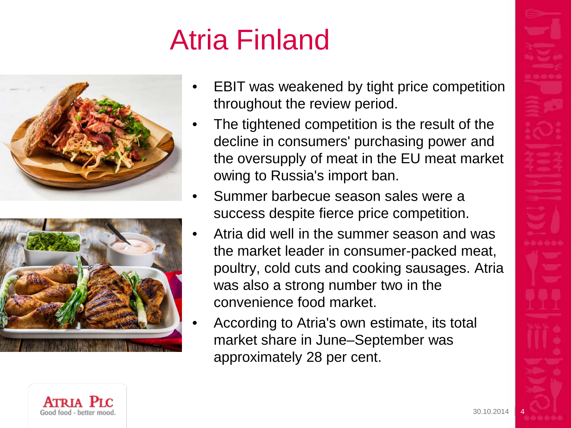# Atria Finland





- EBIT was weakened by tight price competition throughout the review period.
- The tightened competition is the result of the decline in consumers' purchasing power and the oversupply of meat in the EU meat market owing to Russia's import ban.
- Summer barbecue season sales were a success despite fierce price competition.
- Atria did well in the summer season and was the market leader in consumer-packed meat, poultry, cold cuts and cooking sausages. Atria was also a strong number two in the convenience food market.
- According to Atria's own estimate, its total market share in June–September was approximately 28 per cent.

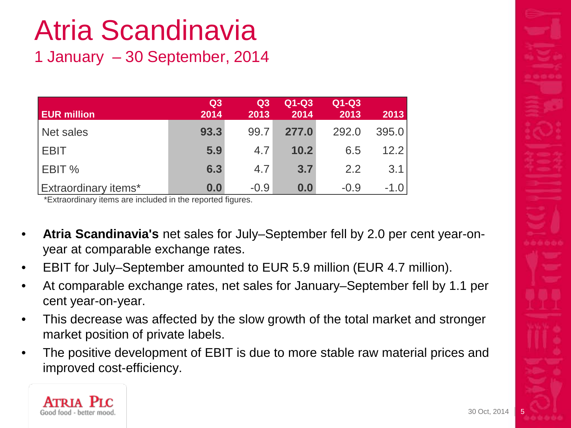# Atria Scandinavia

1 January – 30 September, 2014

| <b>EUR million</b>          | Q3<br>2014 | Q3<br>2013 | $Q1-Q3$<br>2014 | Q1-Q3<br>2013 | 2013  |
|-----------------------------|------------|------------|-----------------|---------------|-------|
| Net sales                   | 93.3       | 99.7       | 277.0           | 292.0         | 395.0 |
| <b>EBIT</b>                 | 5.9        | 4.7        | 10.2            | 6.5           | 12.2  |
| EBIT %                      | 6.3        | 4.7        | 3.7             | 2.2           | 3.1   |
| <b>Extraordinary items*</b> | 0.0        | $-0.9$     | 0.0             | $-0.9$        | -1.0  |

\*Extraordinary items are included in the reported figures.

- **Atria Scandinavia's** net sales for July–September fell by 2.0 per cent year-onyear at comparable exchange rates.
- EBIT for July–September amounted to EUR 5.9 million (EUR 4.7 million).
- At comparable exchange rates, net sales for January–September fell by 1.1 per cent year-on-year.
- This decrease was affected by the slow growth of the total market and stronger market position of private labels.
- The positive development of EBIT is due to more stable raw material prices and improved cost-efficiency.

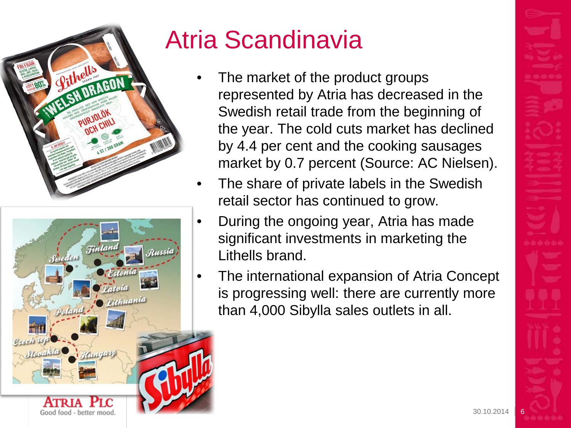



# Atria Scandinavia

- The market of the product groups represented by Atria has decreased in the Swedish retail trade from the beginning of the year. The cold cuts market has declined by 4.4 per cent and the cooking sausages market by 0.7 percent (Source: AC Nielsen).
- The share of private labels in the Swedish retail sector has continued to grow.
- During the ongoing year, Atria has made significant investments in marketing the Lithells brand.
- The international expansion of Atria Concept is progressing well: there are currently more than 4,000 Sibylla sales outlets in all.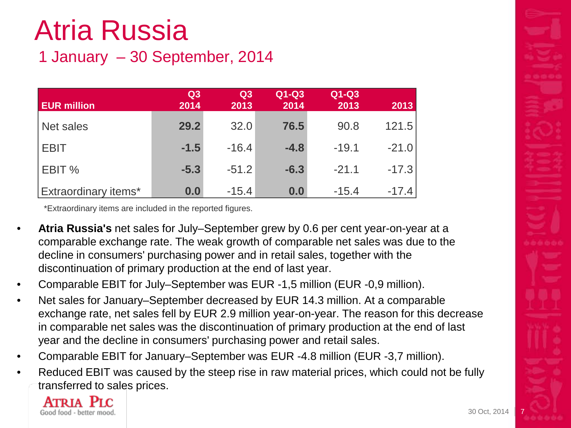# Atria Russia

#### 1 January – 30 September, 2014

| <b>EUR million</b>          | Q3<br>2014 | Q <sub>3</sub><br>2013 | $Q1-Q3$<br>2014 | $Q1-Q3$<br>2013 | 2013    |
|-----------------------------|------------|------------------------|-----------------|-----------------|---------|
| Net sales                   | 29.2       | 32.0                   | 76.5            | 90.8            | 121.5   |
| <b>EBIT</b>                 | $-1.5$     | $-16.4$                | $-4.8$          | $-19.1$         | $-21.0$ |
| <b>EBIT</b> %               | $-5.3$     | $-51.2$                | $-6.3$          | $-21.1$         | $-17.3$ |
| <b>Extraordinary items*</b> | 0.0        | $-15.4$                | 0.0             | $-15.4$         | $-17.4$ |

\*Extraordinary items are included in the reported figures.

- **Atria Russia's** net sales for July–September grew by 0.6 per cent year-on-year at a comparable exchange rate. The weak growth of comparable net sales was due to the decline in consumers' purchasing power and in retail sales, together with the discontinuation of primary production at the end of last year.
- Comparable EBIT for July–September was EUR -1,5 million (EUR -0,9 million).
- Net sales for January–September decreased by EUR 14.3 million. At a comparable exchange rate, net sales fell by EUR 2.9 million year-on-year. The reason for this decrease in comparable net sales was the discontinuation of primary production at the end of last year and the decline in consumers' purchasing power and retail sales.
- Comparable EBIT for January–September was EUR -4.8 million (EUR -3,7 million).
- Reduced EBIT was caused by the steep rise in raw material prices, which could not be fully transferred to sales prices.

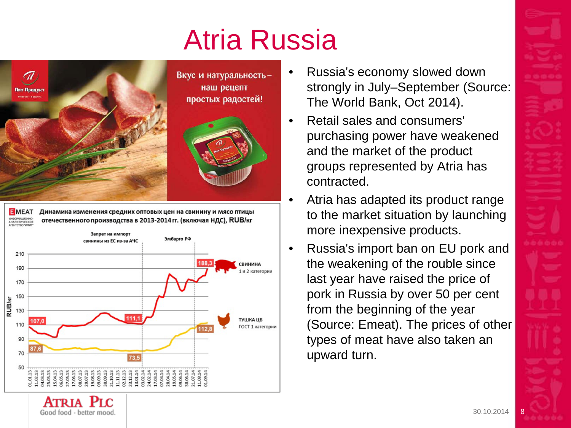# Atria Russia



EMEAT RHOOPMALINOHHO -<br>АНАЛИТИЧЕСКО

Динамика изменения средних оптовых цен на свинину и мясо птицы отечественного производства в 2013-2014 гг. (включая НДС), RUB/кг



- Russia's economy slowed down strongly in July–September (Source: The World Bank, Oct 2014).
- Retail sales and consumers' purchasing power have weakened and the market of the product groups represented by Atria has contracted.
- Atria has adapted its product range to the market situation by launching more inexpensive products.
- Russia's import ban on EU pork and the weakening of the rouble since last year have raised the price of pork in Russia by over 50 per cent from the beginning of the year (Source: Emeat). The prices of other types of meat have also taken an upward turn.

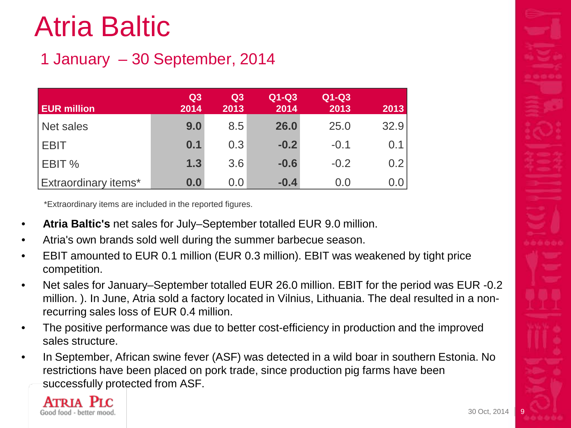# Atria Baltic

#### 1 January – 30 September, 2014

| <b>EUR million</b>          | Q <sub>3</sub><br>2014 | Q3<br>2013 | $Q1-Q3$<br>2014 | $Q1-Q3$<br>2013 | 2013 |
|-----------------------------|------------------------|------------|-----------------|-----------------|------|
| Net sales                   | 9.0                    | 8.5        | 26.0            | 25.0            | 32.9 |
| <b>EBIT</b>                 | 0.1                    | 0.3        | $-0.2$          | $-0.1$          | 0.1  |
| EBIT %                      | 1.3                    | 3.6        | $-0.6$          | $-0.2$          | 0.2  |
| <b>Extraordinary items*</b> | 0.0                    | 0.0        | $-0.4$          | 0.0             | 0.0  |

\*Extraordinary items are included in the reported figures.

- **Atria Baltic's** net sales for July–September totalled EUR 9.0 million.
- Atria's own brands sold well during the summer barbecue season.
- EBIT amounted to EUR 0.1 million (EUR 0.3 million). EBIT was weakened by tight price competition.
- Net sales for January–September totalled EUR 26.0 million. EBIT for the period was EUR -0.2 million. ). In June, Atria sold a factory located in Vilnius, Lithuania. The deal resulted in a nonrecurring sales loss of EUR 0.4 million.
- The positive performance was due to better cost-efficiency in production and the improved sales structure.
- In September, African swine fever (ASF) was detected in a wild boar in southern Estonia. No restrictions have been placed on pork trade, since production pig farms have been successfully protected from ASF.

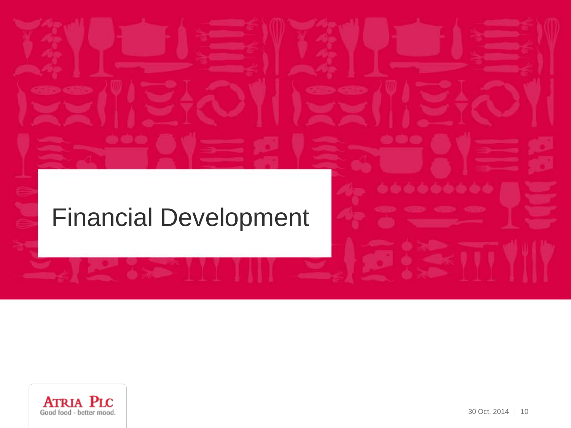#### Financial Development



6666666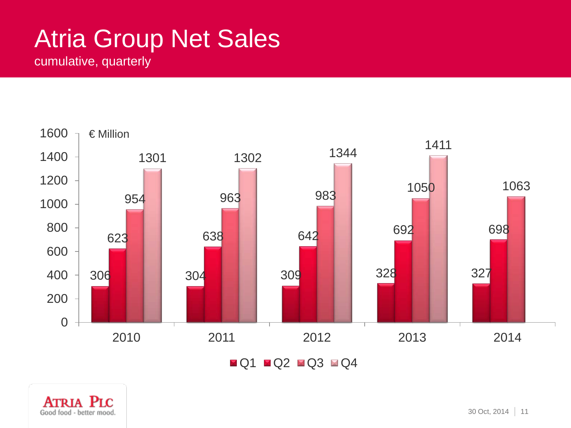## Atria Group Net Sales

cumulative, quarterly



 $\blacksquare$  \lacksquare

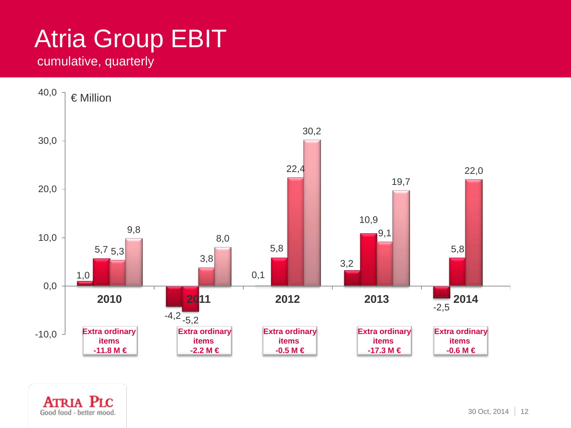# Atria Group EBIT

#### cumulative, quarterly

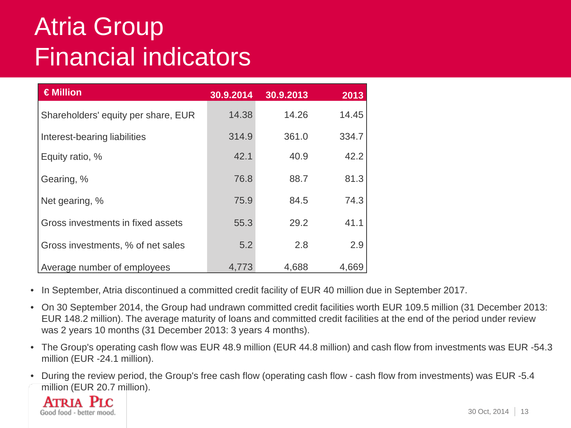## Atria Group Financial indicators

| €Million                            | 30.9.2014 | 30.9.2013 | 2013  |
|-------------------------------------|-----------|-----------|-------|
| Shareholders' equity per share, EUR | 14.38     | 14.26     | 14.45 |
| Interest-bearing liabilities        | 314.9     | 361.0     | 334.7 |
| Equity ratio, %                     | 42.1      | 40.9      | 42.2  |
| Gearing, %                          | 76.8      | 88.7      | 81.3  |
| Net gearing, %                      | 75.9      | 84.5      | 74.3  |
| Gross investments in fixed assets   | 55.3      | 29.2      | 41.1  |
| Gross investments, % of net sales   | 5.2       | 2.8       | 2.9   |
| Average number of employees         | 4,773     | 4,688     | 4,669 |

- In September, Atria discontinued a committed credit facility of EUR 40 million due in September 2017.
- On 30 September 2014, the Group had undrawn committed credit facilities worth EUR 109.5 million (31 December 2013: EUR 148.2 million). The average maturity of loans and committed credit facilities at the end of the period under review was 2 years 10 months (31 December 2013: 3 years 4 months).
- The Group's operating cash flow was EUR 48.9 million (EUR 44.8 million) and cash flow from investments was EUR -54.3 million (EUR -24.1 million).
- During the review period, the Group's free cash flow (operating cash flow cash flow from investments) was EUR -5.4 million (EUR 20.7 million).

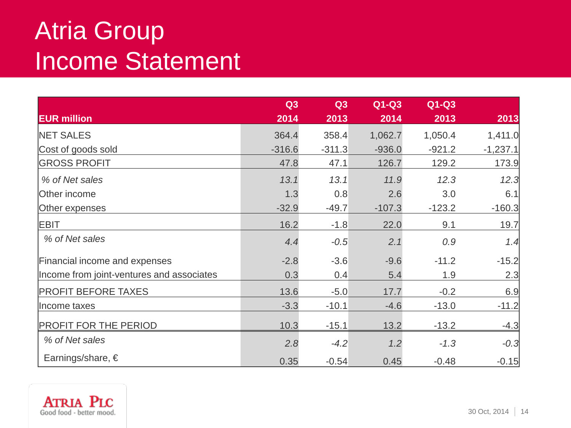#### Atria Group Income Statement

|                                           | Q3       | Q3       | $Q1-Q3$  | $Q1-Q3$  |            |
|-------------------------------------------|----------|----------|----------|----------|------------|
| <b>EUR million</b>                        | 2014     | 2013     | 2014     | 2013     | 2013       |
| <b>NET SALES</b>                          | 364.4    | 358.4    | 1,062.7  | 1,050.4  | 1,411.0    |
| Cost of goods sold                        | $-316.6$ | $-311.3$ | $-936.0$ | $-921.2$ | $-1,237.1$ |
| <b>GROSS PROFIT</b>                       | 47.8     | 47.1     | 126.7    | 129.2    | 173.9      |
| % of Net sales                            | 13.1     | 13.1     | 11.9     | 12.3     | 12.3       |
| Other income                              | 1.3      | 0.8      | 2.6      | 3.0      | 6.1        |
| Other expenses                            | $-32.9$  | $-49.7$  | $-107.3$ | $-123.2$ | $-160.3$   |
| EBIT                                      | 16.2     | $-1.8$   | 22.0     | 9.1      | 19.7       |
| % of Net sales                            | 4.4      | $-0.5$   | 2.1      | 0.9      | 1.4        |
| Financial income and expenses             | $-2.8$   | $-3.6$   | $-9.6$   | $-11.2$  | $-15.2$    |
| Income from joint-ventures and associates | 0.3      | 0.4      | 5.4      | 1.9      | 2.3        |
| <b>PROFIT BEFORE TAXES</b>                | 13.6     | $-5.0$   | 17.7     | $-0.2$   | 6.9        |
| Income taxes                              | $-3.3$   | $-10.1$  | $-4.6$   | $-13.0$  | $-11.2$    |
| <b>PROFIT FOR THE PERIOD</b>              | 10.3     | $-15.1$  | 13.2     | $-13.2$  | $-4.3$     |
| % of Net sales                            | 2.8      | $-4.2$   | 1.2      | $-1.3$   | $-0.3$     |
| Earnings/share, $\in$                     | 0.35     | $-0.54$  | 0.45     | $-0.48$  | $-0.15$    |

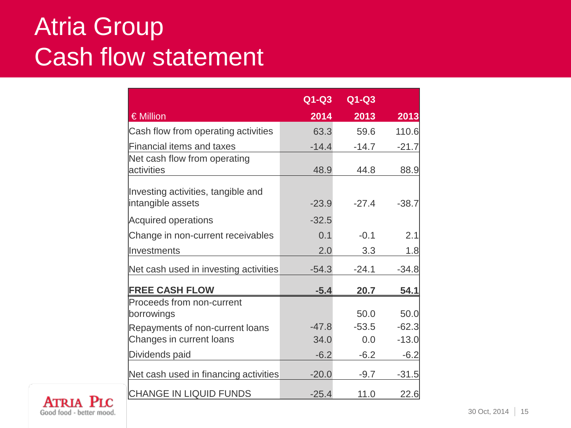#### Atria Group Cash flow statement

|                                       | $Q1-Q3$ | $Q1-Q3$ |         |
|---------------------------------------|---------|---------|---------|
| € Million                             | 2014    | 2013    | 2013    |
| Cash flow from operating activities   | 63.3    | 59.6    | 110.6   |
| <b>Financial items and taxes</b>      | $-14.4$ | $-14.7$ | $-21.7$ |
| Net cash flow from operating          |         |         |         |
| activities                            | 48.9    | 44.8    | 88.9    |
|                                       |         |         |         |
| Investing activities, tangible and    |         | $-27.4$ |         |
| intangible assets                     | $-23.9$ |         | $-38.7$ |
| <b>Acquired operations</b>            | $-32.5$ |         |         |
| Change in non-current receivables     | 0.1     | $-0.1$  | 2.1     |
| Investments                           | 2.0     | 3.3     | 1.8     |
| Net cash used in investing activities | $-54.3$ | $-24.1$ | $-34.8$ |
| <b>FREE CASH FLOW</b>                 | $-5.4$  | 20.7    | 54.1    |
| Proceeds from non-current             |         |         |         |
| borrowings                            |         | 50.0    | 50.0    |
| Repayments of non-current loans       | $-47.8$ | $-53.5$ | $-62.3$ |
| Changes in current loans              | 34.0    | 0.0     | $-13.0$ |
| Dividends paid                        | $-6.2$  | $-6.2$  | $-6.2$  |
| Net cash used in financing activities | $-20.0$ | $-9.7$  | $-31.5$ |
| CHANGE IN LIQUID FUNDS                | $-25.4$ | 11.0    | 22.6    |

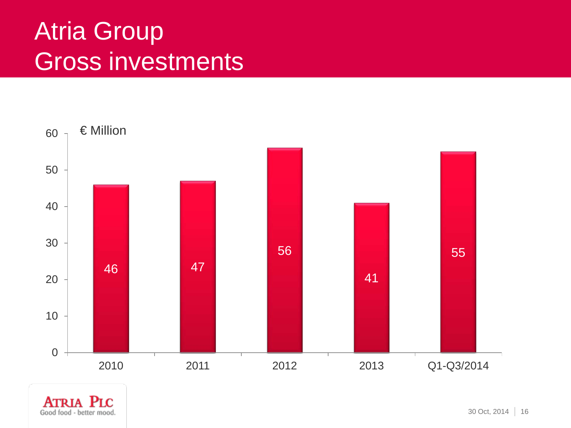#### Atria Group Gross investments



**ATRIA** PLC Good food - better mood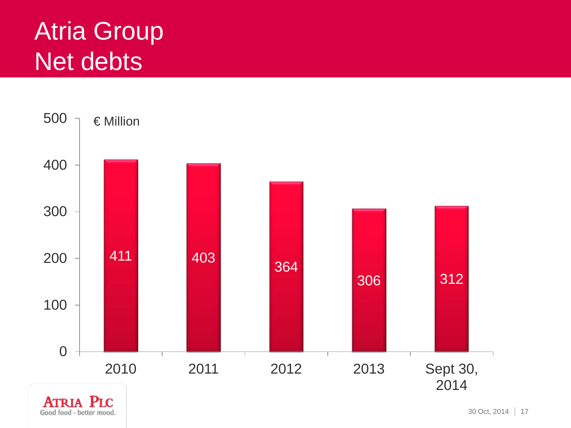## Atria Group Net debts



**ATRIA PLC** Good food - better mood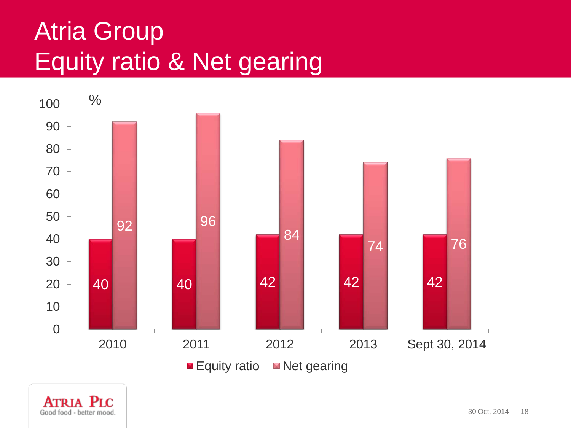## Atria Group Equity ratio & Net gearing



Atria Plc Good food - better mood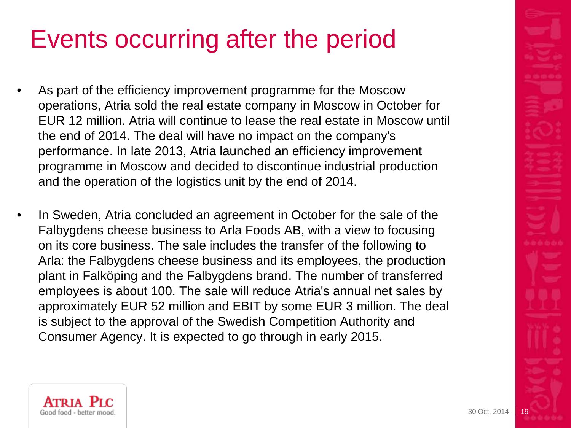## Events occurring after the period

- As part of the efficiency improvement programme for the Moscow operations, Atria sold the real estate company in Moscow in October for EUR 12 million. Atria will continue to lease the real estate in Moscow until the end of 2014. The deal will have no impact on the company's performance. In late 2013, Atria launched an efficiency improvement programme in Moscow and decided to discontinue industrial production and the operation of the logistics unit by the end of 2014.
- In Sweden, Atria concluded an agreement in October for the sale of the Falbygdens cheese business to Arla Foods AB, with a view to focusing on its core business. The sale includes the transfer of the following to Arla: the Falbygdens cheese business and its employees, the production plant in Falköping and the Falbygdens brand. The number of transferred employees is about 100. The sale will reduce Atria's annual net sales by approximately EUR 52 million and EBIT by some EUR 3 million. The deal is subject to the approval of the Swedish Competition Authority and Consumer Agency. It is expected to go through in early 2015.

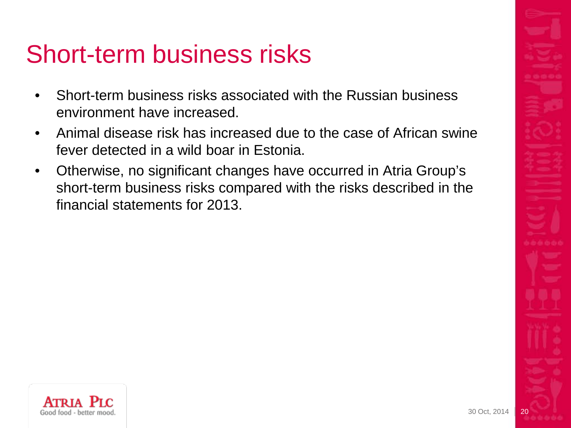#### Short-term business risks

- Short-term business risks associated with the Russian business environment have increased.
- Animal disease risk has increased due to the case of African swine fever detected in a wild boar in Estonia.
- Otherwise, no significant changes have occurred in Atria Group's short-term business risks compared with the risks described in the financial statements for 2013.

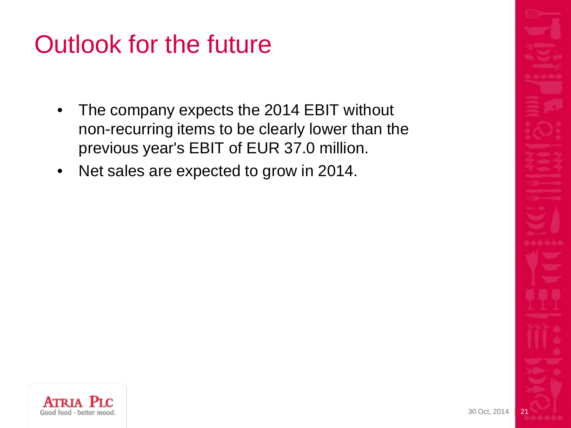## Outlook for the future

- The company expects the 2014 EBIT without non-recurring items to be clearly lower than the previous year's EBIT of EUR 37.0 million.
- Net sales are expected to grow in 2014.